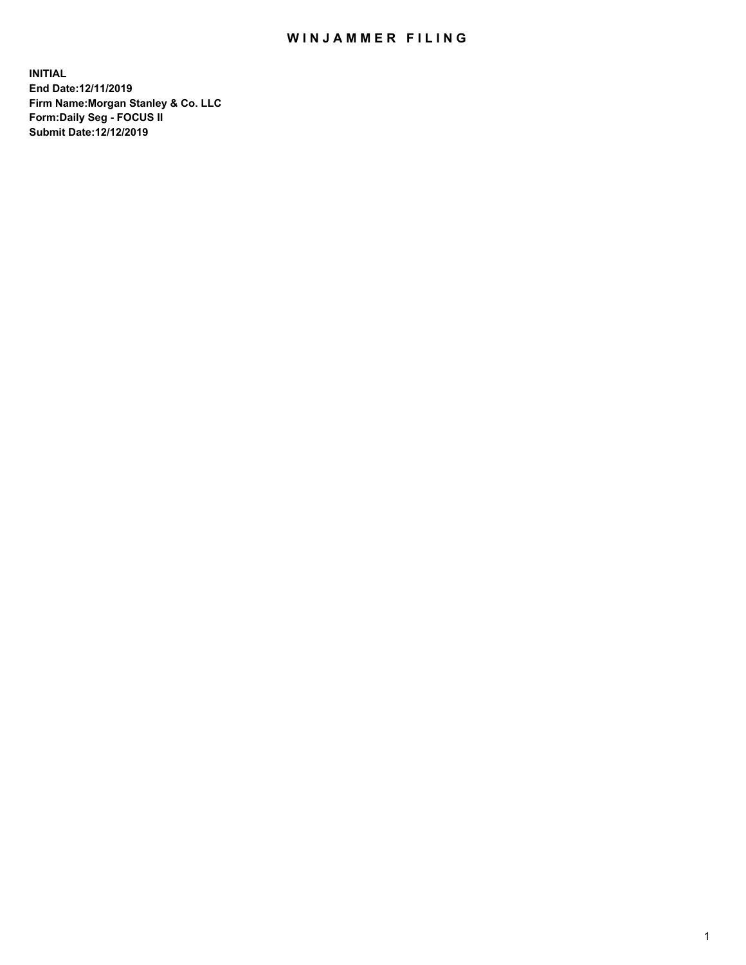## WIN JAMMER FILING

**INITIAL End Date:12/11/2019 Firm Name:Morgan Stanley & Co. LLC Form:Daily Seg - FOCUS II Submit Date:12/12/2019**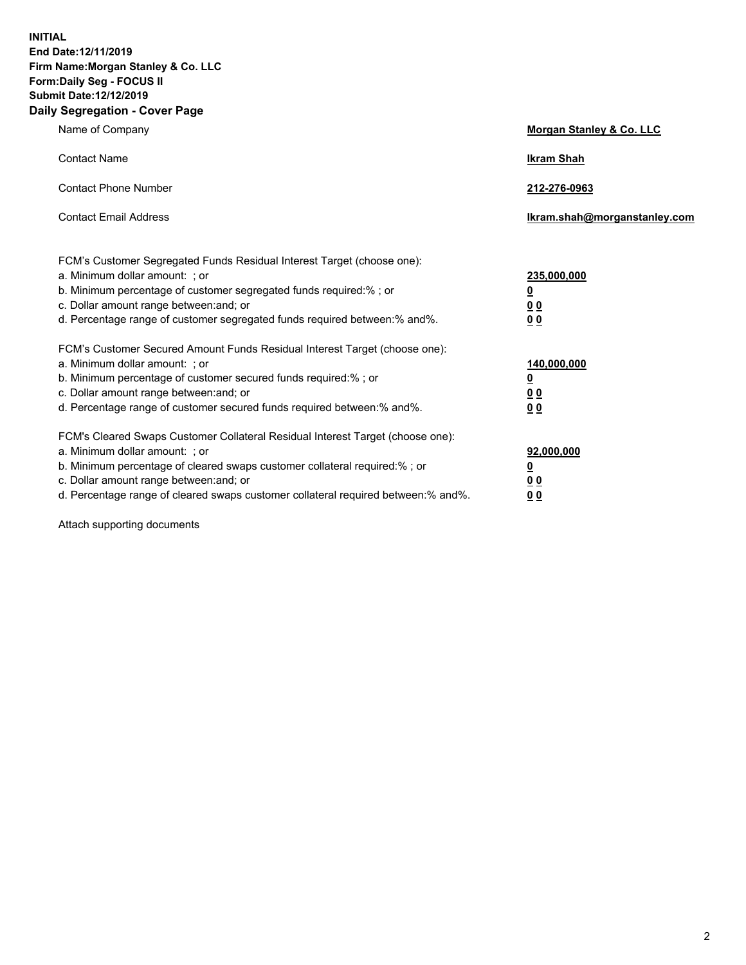**INITIAL End Date:12/11/2019 Firm Name:Morgan Stanley & Co. LLC Form:Daily Seg - FOCUS II Submit Date:12/12/2019 Daily Segregation - Cover Page**

| Name of Company                                                                   | Morgan Stanley & Co. LLC     |
|-----------------------------------------------------------------------------------|------------------------------|
| <b>Contact Name</b>                                                               | <b>Ikram Shah</b>            |
| <b>Contact Phone Number</b>                                                       | 212-276-0963                 |
| <b>Contact Email Address</b>                                                      | Ikram.shah@morganstanley.com |
| FCM's Customer Segregated Funds Residual Interest Target (choose one):            |                              |
| a. Minimum dollar amount: ; or                                                    | 235,000,000                  |
| b. Minimum percentage of customer segregated funds required:% ; or                | <u>0</u>                     |
| c. Dollar amount range between: and; or                                           | <u>00</u>                    |
| d. Percentage range of customer segregated funds required between:% and%.         | 0 <sub>0</sub>               |
| FCM's Customer Secured Amount Funds Residual Interest Target (choose one):        |                              |
| a. Minimum dollar amount: ; or                                                    | 140,000,000                  |
| b. Minimum percentage of customer secured funds required:%; or                    | <u>0</u>                     |
| c. Dollar amount range between: and; or                                           | <u>00</u>                    |
| d. Percentage range of customer secured funds required between:% and%.            | 00                           |
| FCM's Cleared Swaps Customer Collateral Residual Interest Target (choose one):    |                              |
| a. Minimum dollar amount: ; or                                                    | 92,000,000                   |
| b. Minimum percentage of cleared swaps customer collateral required:% ; or        | <u>0</u>                     |
| c. Dollar amount range between: and; or                                           | 0 Q                          |
| d. Percentage range of cleared swaps customer collateral required between:% and%. | 00                           |

Attach supporting documents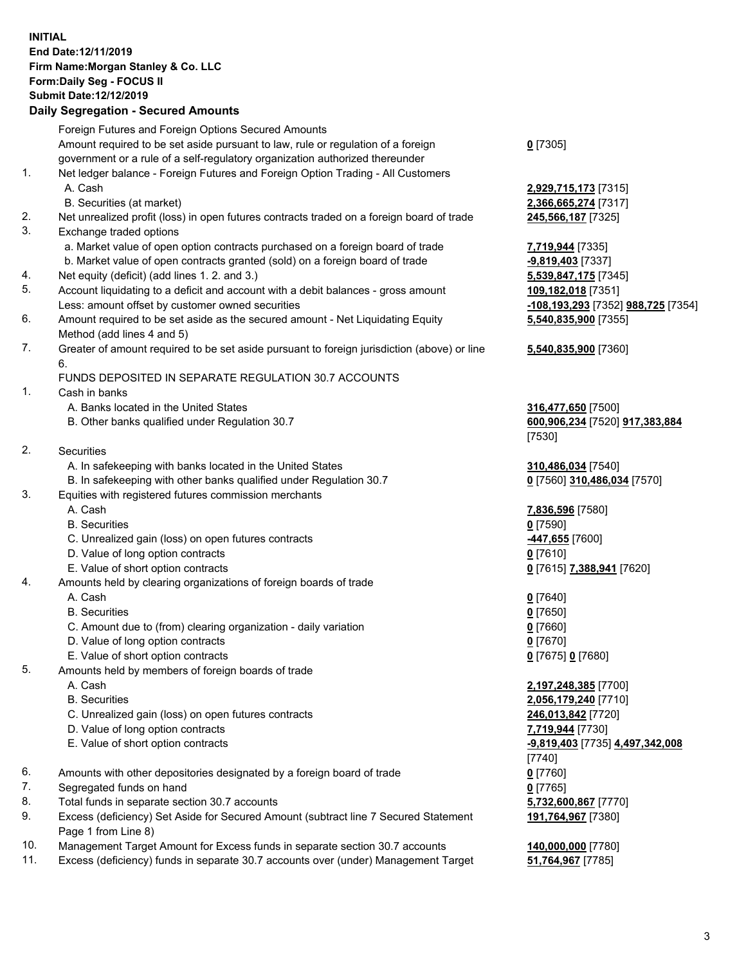## **INITIAL End Date:12/11/2019 Firm Name:Morgan Stanley & Co. LLC Form:Daily Seg - FOCUS II Submit Date:12/12/2019**

## **Daily Segregation - Secured Amounts**

|    | Foreign Futures and Foreign Options Secured Amounts                                                        |                                          |
|----|------------------------------------------------------------------------------------------------------------|------------------------------------------|
|    | Amount required to be set aside pursuant to law, rule or regulation of a foreign                           | $0$ [7305]                               |
| 1. | government or a rule of a self-regulatory organization authorized thereunder                               |                                          |
|    | Net ledger balance - Foreign Futures and Foreign Option Trading - All Customers<br>A. Cash                 |                                          |
|    | B. Securities (at market)                                                                                  | 2,929,715,173 [731<br>2,366,665,274 [731 |
| 2. | Net unrealized profit (loss) in open futures contracts traded on a foreign board of trade                  | 245,566,187 [7325]                       |
| 3. | Exchange traded options                                                                                    |                                          |
|    | a. Market value of open option contracts purchased on a foreign board of trade                             | 7,719,944 [7335]                         |
|    | b. Market value of open contracts granted (sold) on a foreign board of trade                               | $-9,819,403$ [7337]                      |
| 4. | Net equity (deficit) (add lines 1.2. and 3.)                                                               | 5,539,847,175 [734                       |
| 5. | Account liquidating to a deficit and account with a debit balances - gross amount                          | 109,182,018 [7351]                       |
|    | Less: amount offset by customer owned securities                                                           | -108,193,293 [7352                       |
| 6. | Amount required to be set aside as the secured amount - Net Liquidating Equity                             | 5,540,835,900 [735                       |
|    | Method (add lines 4 and 5)                                                                                 |                                          |
| 7. | Greater of amount required to be set aside pursuant to foreign jurisdiction (above) or line                | 5,540,835,900 [736                       |
|    | 6.                                                                                                         |                                          |
|    | FUNDS DEPOSITED IN SEPARATE REGULATION 30.7 ACCOUNTS                                                       |                                          |
| 1. | Cash in banks                                                                                              |                                          |
|    | A. Banks located in the United States                                                                      | 316,477,650 [7500]                       |
|    | B. Other banks qualified under Regulation 30.7                                                             | 600,906,234 [7520]                       |
|    |                                                                                                            | [7530]                                   |
| 2. | Securities                                                                                                 |                                          |
|    | A. In safekeeping with banks located in the United States                                                  | 310,486,034 [7540]                       |
|    | B. In safekeeping with other banks qualified under Regulation 30.7                                         | 0 [7560] 310,486,0:                      |
| 3. | Equities with registered futures commission merchants                                                      |                                          |
|    | A. Cash                                                                                                    | 7,836,596 [7580]                         |
|    | <b>B.</b> Securities                                                                                       | $0$ [7590]                               |
|    | C. Unrealized gain (loss) on open futures contracts                                                        | -447,655 <sup>[7600]</sup>               |
|    | D. Value of long option contracts                                                                          | $0$ [7610]                               |
| 4. | E. Value of short option contracts<br>Amounts held by clearing organizations of foreign boards of trade    | 0 [7615] 7,388,941                       |
|    | A. Cash                                                                                                    | $0$ [7640]                               |
|    | <b>B.</b> Securities                                                                                       | $0$ [7650]                               |
|    | C. Amount due to (from) clearing organization - daily variation                                            | $0$ [7660]                               |
|    | D. Value of long option contracts                                                                          | $0$ [7670]                               |
|    | E. Value of short option contracts                                                                         | 0 [7675] 0 [7680]                        |
| 5. | Amounts held by members of foreign boards of trade                                                         |                                          |
|    | A. Cash                                                                                                    | 2,197,248,385 [770                       |
|    | <b>B.</b> Securities                                                                                       | 2,056,179,240 [771                       |
|    | C. Unrealized gain (loss) on open futures contracts                                                        | 246,013,842 [7720]                       |
|    | D. Value of long option contracts                                                                          | 7,719,944 [7730]                         |
|    | E. Value of short option contracts                                                                         | -9,819,403 [7735] 4                      |
|    |                                                                                                            | $[7740]$                                 |
| 6. | Amounts with other depositories designated by a foreign board of trade                                     | $0$ [7760]                               |
| 7. | Segregated funds on hand                                                                                   | $0$ [7765]                               |
| 8. | Total funds in separate section 30.7 accounts                                                              | 5,732,600,867 [777                       |
| 9. | Excess (deficiency) Set Aside for Secured Amount (subtract line 7 Secured Statement<br>Page 1 from Line 8) | 191,764,967 [7380]                       |

- 10. Management Target Amount for Excess funds in separate section 30.7 accounts **140,000,000** [7780]
- 11. Excess (deficiency) funds in separate 30.7 accounts over (under) Management Target **51,764,967** [7785]

 A. Cash **2,929,715,173** [7315] **65,274** [7317]

47,175 [7345] Less: amount offset by customer owned securities **-108,193,293** [7352] **988,725** [7354] **35,900** [7355]

## **35,900** [7360]

<sup>7</sup>,650 [7500] B. Other banks qualified under Regulation 30.7 **600,906,234** [7520] **917,383,884**

B. [7570] 310,486,034 [7570]

E. Value of short option contracts **0** [7615] **7,388,941** [7620]

 A. Cash **2,197,248,385** [7700] **79,240** [7710] **0. 242** [7720] E. Value of short option contracts **-9,819,403** [7735] **4,497,342,008** 00,867 [7770] **1,967** [7380]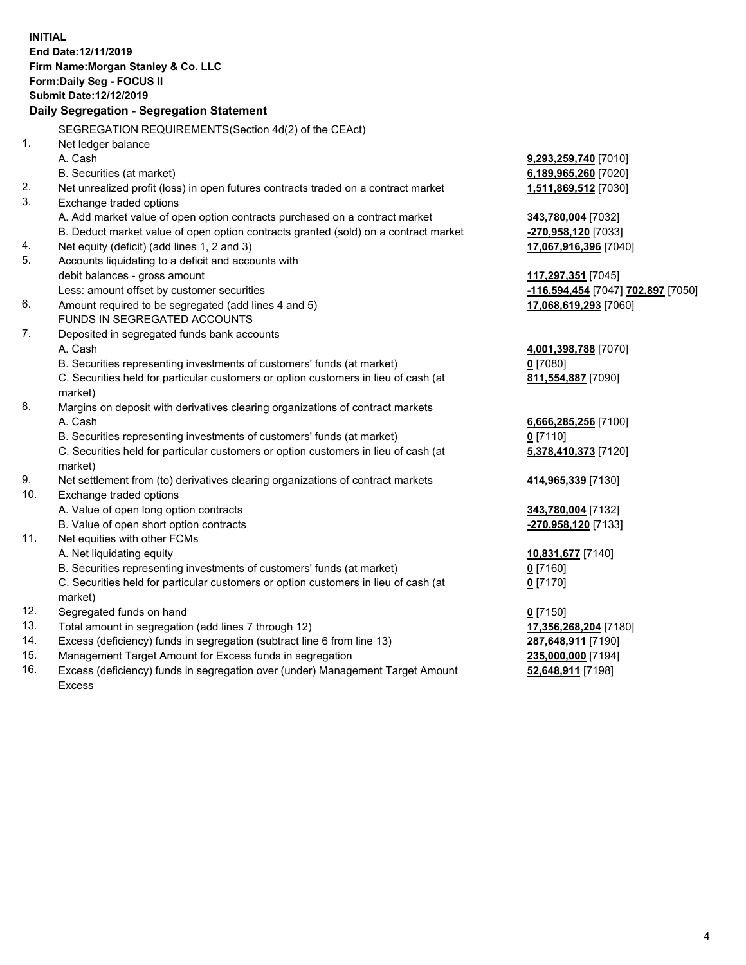|     | <b>INITIAL</b><br>End Date: 12/11/2019                                              |                                    |
|-----|-------------------------------------------------------------------------------------|------------------------------------|
|     | Firm Name: Morgan Stanley & Co. LLC                                                 |                                    |
|     | Form: Daily Seg - FOCUS II                                                          |                                    |
|     | Submit Date: 12/12/2019                                                             |                                    |
|     | Daily Segregation - Segregation Statement                                           |                                    |
|     | SEGREGATION REQUIREMENTS(Section 4d(2) of the CEAct)                                |                                    |
| 1.  | Net ledger balance                                                                  |                                    |
|     | A. Cash                                                                             | 9,293,259,740 [7010]               |
|     | B. Securities (at market)                                                           | 6,189,965,260 [7020]               |
| 2.  | Net unrealized profit (loss) in open futures contracts traded on a contract market  | 1,511,869,512 [7030]               |
| 3.  | Exchange traded options                                                             |                                    |
|     | A. Add market value of open option contracts purchased on a contract market         | 343,780,004 [7032]                 |
|     | B. Deduct market value of open option contracts granted (sold) on a contract market | -270,958,120 [7033]                |
| 4.  | Net equity (deficit) (add lines 1, 2 and 3)                                         | 17,067,916,396 [7040]              |
| 5.  | Accounts liquidating to a deficit and accounts with                                 |                                    |
|     | debit balances - gross amount                                                       | 117,297,351 [7045]                 |
|     | Less: amount offset by customer securities                                          | -116,594,454 [7047] 702,897 [7050] |
| 6.  | Amount required to be segregated (add lines 4 and 5)                                | 17,068,619,293 [7060]              |
|     | FUNDS IN SEGREGATED ACCOUNTS                                                        |                                    |
| 7.  | Deposited in segregated funds bank accounts                                         |                                    |
|     | A. Cash                                                                             | 4,001,398,788 [7070]               |
|     | B. Securities representing investments of customers' funds (at market)              | $0$ [7080]                         |
|     | C. Securities held for particular customers or option customers in lieu of cash (at | 811,554,887 [7090]                 |
|     | market)                                                                             |                                    |
| 8.  | Margins on deposit with derivatives clearing organizations of contract markets      |                                    |
|     | A. Cash                                                                             | 6,666,285,256 [7100]               |
|     | B. Securities representing investments of customers' funds (at market)              | $0$ [7110]                         |
|     | C. Securities held for particular customers or option customers in lieu of cash (at | 5,378,410,373 [7120]               |
|     | market)                                                                             |                                    |
| 9.  | Net settlement from (to) derivatives clearing organizations of contract markets     | 414,965,339 [7130]                 |
| 10. | Exchange traded options                                                             |                                    |
|     | A. Value of open long option contracts                                              | 343,780,004 [7132]                 |
|     | B. Value of open short option contracts                                             | -270,958,120 [7133]                |
| 11. | Net equities with other FCMs                                                        |                                    |
|     | A. Net liquidating equity                                                           | 10,831,677 [7140]                  |
|     | B. Securities representing investments of customers' funds (at market)              | 0 [7160]                           |
|     | C. Securities held for particular customers or option customers in lieu of cash (at | $0$ [7170]                         |
|     | market)                                                                             |                                    |
| 12. | Segregated funds on hand                                                            | $0$ [7150]                         |
| 13. | Total amount in segregation (add lines 7 through 12)                                | 17,356,268,204 [7180]              |
| 14. | Excess (deficiency) funds in segregation (subtract line 6 from line 13)             | 287,648,911 [7190]                 |
| 15. | Management Target Amount for Excess funds in segregation                            | 235,000,000 [7194]                 |
| 16. | Excess (deficiency) funds in segregation over (under) Management Target Amount      | 52,648,911 [7198]                  |

16. Excess (deficiency) funds in segregation over (under) Management Target Amount Excess